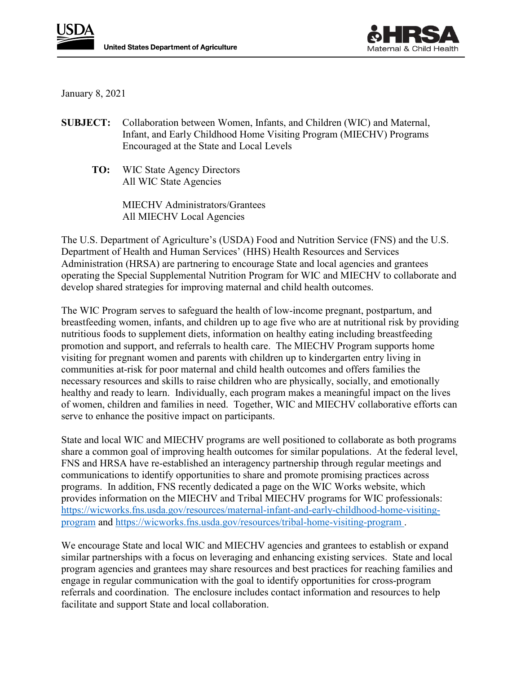



January 8, 2021

- **SUBJECT:** Collaboration between Women, Infants, and Children (WIC) and Maternal, Infant, and Early Childhood Home Visiting Program (MIECHV) Programs Encouraged at the State and Local Levels
	- **TO:** WIC State Agency Directors All WIC State Agencies

MIECHV Administrators/Grantees All MIECHV Local Agencies

The U.S. Department of Agriculture's (USDA) Food and Nutrition Service (FNS) and the U.S. Department of Health and Human Services' (HHS) Health Resources and Services Administration (HRSA) are partnering to encourage State and local agencies and grantees operating the Special Supplemental Nutrition Program for WIC and MIECHV to collaborate and develop shared strategies for improving maternal and child health outcomes.

The WIC Program serves to safeguard the health of low-income pregnant, postpartum, and breastfeeding women, infants, and children up to age five who are at nutritional risk by providing nutritious foods to supplement diets, information on healthy eating including breastfeeding promotion and support, and referrals to health care. The MIECHV Program supports home visiting for pregnant women and parents with children up to kindergarten entry living in communities at-risk for poor maternal and child health outcomes and offers families the necessary resources and skills to raise children who are physically, socially, and emotionally healthy and ready to learn. Individually, each program makes a meaningful impact on the lives of women, children and families in need. Together, WIC and MIECHV collaborative efforts can serve to enhance the positive impact on participants.

State and local WIC and MIECHV programs are well positioned to collaborate as both programs share a common goal of improving health outcomes for similar populations. At the federal level, FNS and HRSA have re-established an interagency partnership through regular meetings and communications to identify opportunities to share and promote promising practices across programs. In addition, FNS recently dedicated a page on the WIC Works website, which provides information on the MIECHV and Tribal MIECHV programs for WIC professionals: [https://wicworks.fns.usda.gov/resources/maternal-infant-and-early-childhood-home-visiting](https://wicworks.fns.usda.gov/resources/maternal-infant-and-early-childhood-home-visiting-program)[program](https://wicworks.fns.usda.gov/resources/maternal-infant-and-early-childhood-home-visiting-program) and<https://wicworks.fns.usda.gov/resources/tribal-home-visiting-program> .

We encourage State and local WIC and MIECHV agencies and grantees to establish or expand similar partnerships with a focus on leveraging and enhancing existing services. State and local program agencies and grantees may share resources and best practices for reaching families and engage in regular communication with the goal to identify opportunities for cross-program referrals and coordination. The enclosure includes contact information and resources to help facilitate and support State and local collaboration.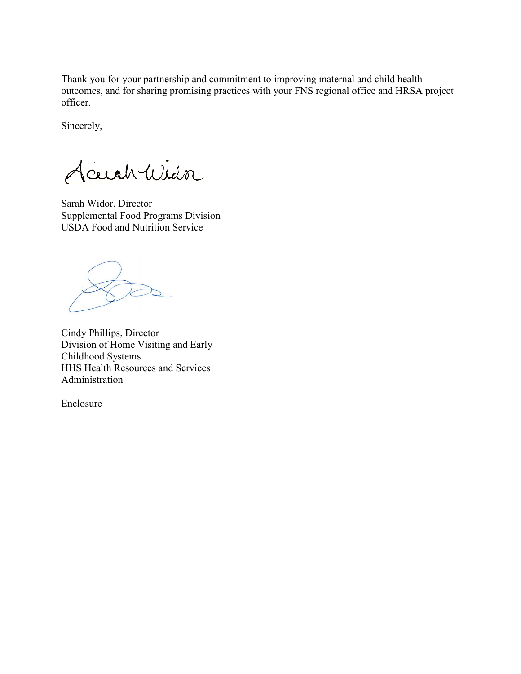Thank you for your partnership and commitment to improving maternal and child health outcomes, and for sharing promising practices with your FNS regional office and HRSA project officer.

Sincerely,

Accidenticidor

Sarah Widor, Director Supplemental Food Programs Division USDA Food and Nutrition Service

Cindy Phillips, Director Division of Home Visiting and Early Childhood Systems HHS Health Resources and Services Administration

Enclosure